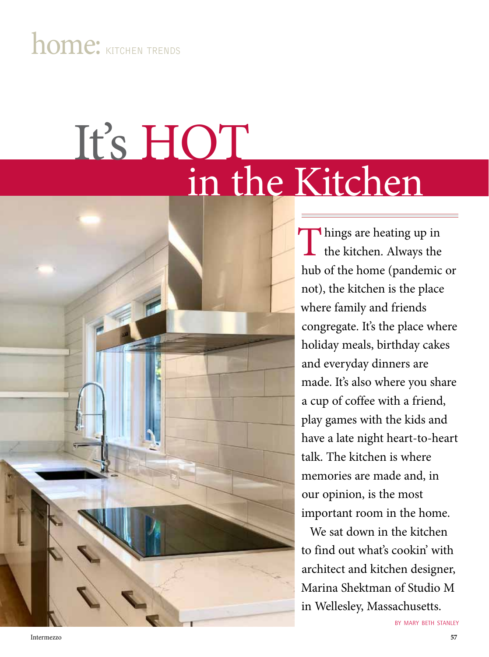# home: KITCHEN TRENDS

# in the Kitchen It's HOT

Things are heating up in<br>the kitchen. Always the the kitchen. Always the hub of the home (pandemic or not), the kitchen is the place where family and friends congregate. It's the place where holiday meals, birthday cakes and everyday dinners are made. It's also where you share a cup of coffee with a friend, play games with the kids and have a late night heart-to-heart talk. The kitchen is where memories are made and, in our opinion, is the most important room in the home.

We sat down in the kitchen to find out what's cookin' with architect and kitchen designer, Marina Shektman of Studio M in Wellesley, Massachusetts.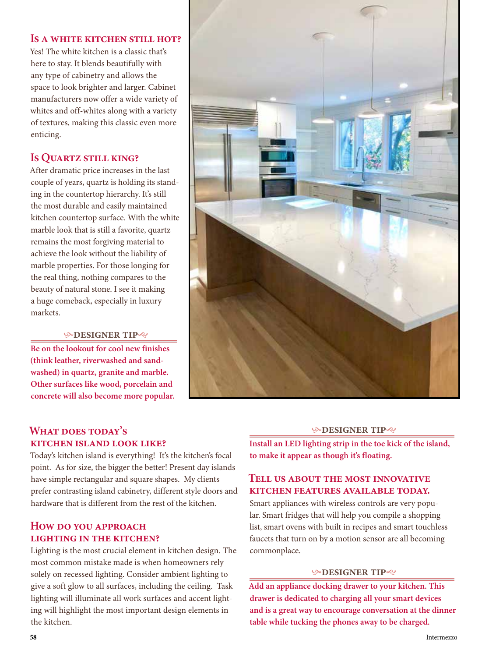**Is a white kitchen still hot?**

Yes! The white kitchen is a classic that's here to stay. It blends beautifully with any type of cabinetry and allows the space to look brighter and larger. Cabinet manufacturers now offer a wide variety of whites and off-whites along with a variety of textures, making this classic even more enticing.

# **Is Quartz still king?**

After dramatic price increases in the last couple of years, quartz is holding its standing in the countertop hierarchy. It's still the most durable and easily maintained kitchen countertop surface. With the white marble look that is still a favorite, quartz remains the most forgiving material to achieve the look without the liability of marble properties. For those longing for the real thing, nothing compares to the beauty of natural stone. I see it making a huge comeback, especially in luxury markets.

#### **DESIGNER TIP**

**Be on the lookout for cool new finishes (think leather, riverwashed and sandwashed) in quartz, granite and marble. Other surfaces like wood, porcelain and concrete will also become more popular.**



## **What does today's kitchen island look like?**

Today's kitchen island is everything! It's the kitchen's focal point. As for size, the bigger the better! Present day islands have simple rectangular and square shapes. My clients prefer contrasting island cabinetry, different style doors and hardware that is different from the rest of the kitchen.

# **How do you approach lighting in the kitchen?**

Lighting is the most crucial element in kitchen design. The most common mistake made is when homeowners rely solely on recessed lighting. Consider ambient lighting to give a soft glow to all surfaces, including the ceiling. Task lighting will illuminate all work surfaces and accent lighting will highlight the most important design elements in the kitchen.

#### **DESIGNER TIP**

**Install an LED lighting strip in the toe kick of the island, to make it appear as though it's floating.**

# **Tell us about the most innovative kitchen features available today.**

Smart appliances with wireless controls are very popular. Smart fridges that will help you compile a shopping list, smart ovens with built in recipes and smart touchless faucets that turn on by a motion sensor are all becoming commonplace.

#### **DESIGNER TIP**

**Add an appliance docking drawer to your kitchen. This drawer is dedicated to charging all your smart devices and is a great way to encourage conversation at the dinner table while tucking the phones away to be charged.**